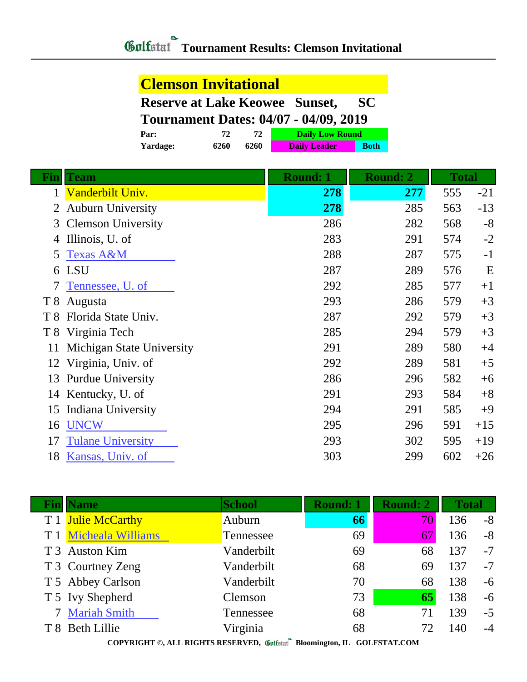## **Clemson Invitational**

| <b>Reserve at Lake Keowee Sunset,</b>        |      |      |                     | <b>SC</b>   |  |  |
|----------------------------------------------|------|------|---------------------|-------------|--|--|
| <b>Tournament Dates: 04/07 - 04/09, 2019</b> |      |      |                     |             |  |  |
| <b>Daily Low Round</b><br>72<br>72.<br>Par:  |      |      |                     |             |  |  |
| Yardage:                                     | 6260 | 6260 | <b>Daily Leader</b> | <b>Both</b> |  |  |

| <u>Fin</u>     | <b>Team</b>               | <b>Round: 1</b> | <b>Round: 2</b> | <b>Total</b> |       |
|----------------|---------------------------|-----------------|-----------------|--------------|-------|
| 1              | Vanderbilt Univ.          | 278             | 277             | 555          | $-21$ |
| 2              | <b>Auburn University</b>  | 278             | 285             | 563          | $-13$ |
| 3              | <b>Clemson University</b> | 286             | 282             | 568          | $-8$  |
| 4              | Illinois, U. of           | 283             | 291             | 574          | $-2$  |
| 5              | <b>Texas A&amp;M</b>      | 288             | 287             | 575          | $-1$  |
|                | 6 LSU                     | 287             | 289             | 576          | E     |
| 7              | Tennessee, U. of          | 292             | 285             | 577          | $+1$  |
| T8             | Augusta                   | 293             | 286             | 579          | $+3$  |
| T 8            | Florida State Univ.       | 287             | 292             | 579          | $+3$  |
| T <sup>8</sup> | Virginia Tech             | 285             | 294             | 579          | $+3$  |
| 11             | Michigan State University | 291             | 289             | 580          | $+4$  |
| 12             | Virginia, Univ. of        | 292             | 289             | 581          | $+5$  |
| 13             | <b>Purdue University</b>  | 286             | 296             | 582          | $+6$  |
|                | 14 Kentucky, U. of        | 291             | 293             | 584          | $+8$  |
| 15             | Indiana University        | 294             | 291             | 585          | $+9$  |
| 16             | <b>UNCW</b>               | 295             | 296             | 591          | $+15$ |
| 17             | <b>Tulane University</b>  | 293             | 302             | 595          | $+19$ |
| 18             | Kansas, Univ. of          | 303             | 299             | 602          | $+26$ |

| <b>Fin</b>   Name     | <b>School</b> | <b>Round: 1</b> | <b>Round: 2</b> | <b>Total</b> |      |
|-----------------------|---------------|-----------------|-----------------|--------------|------|
| T 1 Julie McCarthy    | Auburn        | 66              | 70              | 136          | $-8$ |
| T 1 Micheala Williams | Tennessee     | 69              | 67              | 136          | $-8$ |
| T 3 Auston Kim        | Vanderbilt    | 69              | 68              | 137          | $-7$ |
| T 3 Courtney Zeng     | Vanderbilt    | 68              | 69              | 137          | $-7$ |
| T 5 Abbey Carlson     | Vanderbilt    | 70              | 68              | 138          | $-6$ |
| T 5 Ivy Shepherd      | Clemson       | 73              | 65              | 138          | $-6$ |
| 7 Mariah Smith        | Tennessee     | 68              | 71              | 139          | $-5$ |
| T 8 Beth Lillie       | Virginia      | 68              | 72              | 140          | $-4$ |
|                       | $\sim$        |                 |                 |              |      |

**COPYRIGHT ©, ALL RIGHTS RESERVED, Bloomington, IL GOLFSTAT.COM**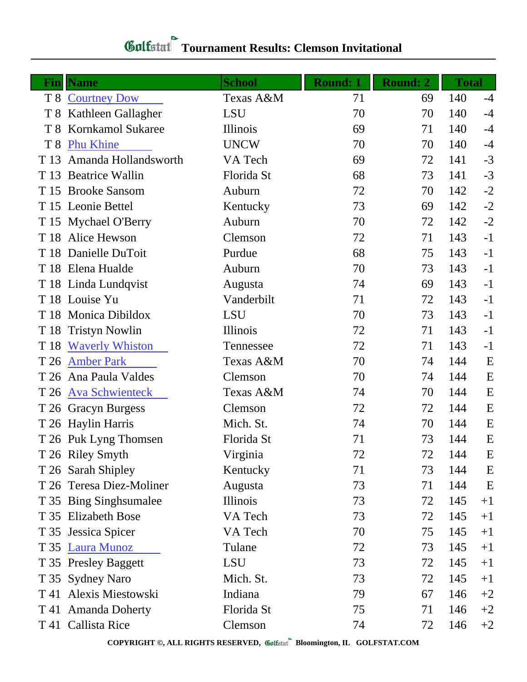## **Gulfatat** Tournament Results: Clemson Invitational

| Fin            | <b>Name</b>              | <b>School</b> | <b>Round: 1</b> | <b>Round: 2</b> | <b>Total</b> |      |
|----------------|--------------------------|---------------|-----------------|-----------------|--------------|------|
|                | T 8 Courtney Dow         | Texas A&M     | 71              | 69              | 140          | $-4$ |
| T 8            | Kathleen Gallagher       | <b>LSU</b>    | 70              | 70              | 140          | $-4$ |
| T <sup>8</sup> | <b>Kornkamol Sukaree</b> | Illinois      | 69              | 71              | 140          | $-4$ |
| T <sub>8</sub> | <b>Phu Khine</b>         | <b>UNCW</b>   | 70              | 70              | 140          | $-4$ |
| T 13           | Amanda Hollandsworth     | VA Tech       | 69              | 72              | 141          | $-3$ |
| T 13           | <b>Beatrice Wallin</b>   | Florida St    | 68              | 73              | 141          | $-3$ |
|                | T 15 Brooke Sansom       | Auburn        | 72              | 70              | 142          | $-2$ |
|                | T 15 Leonie Bettel       | Kentucky      | 73              | 69              | 142          | $-2$ |
|                | T 15 Mychael O'Berry     | Auburn        | 70              | 72              | 142          | $-2$ |
| T 18           | Alice Hewson             | Clemson       | 72              | 71              | 143          | $-1$ |
|                | T 18 Danielle DuToit     | Purdue        | 68              | 75              | 143          | $-1$ |
|                | T 18 Elena Hualde        | Auburn        | 70              | 73              | 143          | $-1$ |
|                | T 18 Linda Lundqvist     | Augusta       | 74              | 69              | 143          | $-1$ |
|                | T 18 Louise Yu           | Vanderbilt    | 71              | 72              | 143          | $-1$ |
|                | T 18 Monica Dibildox     | LSU           | 70              | 73              | 143          | $-1$ |
| T 18           | <b>Tristyn Nowlin</b>    | Illinois      | 72              | 71              | 143          | $-1$ |
| T 18           | <b>Waverly Whiston</b>   | Tennessee     | 72              | 71              | 143          | $-1$ |
| T 26           | <b>Amber Park</b>        | Texas A&M     | 70              | 74              | 144          | E    |
|                | T 26 Ana Paula Valdes    | Clemson       | 70              | 74              | 144          | E    |
| T 26           | <b>Ava Schwienteck</b>   | Texas A&M     | 74              | 70              | 144          | E    |
|                | T 26 Gracyn Burgess      | Clemson       | 72              | 72              | 144          | E    |
|                | T 26 Haylin Harris       | Mich. St.     | 74              | 70              | 144          | E    |
|                | T 26 Puk Lyng Thomsen    | Florida St    | 71              | 73              | 144          | E    |
|                | T 26 Riley Smyth         | Virginia      | 72              | 72              | 144          | E    |
|                | T 26 Sarah Shipley       | Kentucky      | 71              | 73              | 144          | E    |
|                | T 26 Teresa Diez-Moliner | Augusta       | 73              | 71              | 144          | E    |
|                | T 35 Bing Singh sumalee  | Illinois      | 73              | 72              | 145          | $+1$ |
|                | T 35 Elizabeth Bose      | VA Tech       | 73              | 72              | 145          | $+1$ |
|                | T 35 Jessica Spicer      | VA Tech       | 70              | 75              | 145          | $+1$ |
|                | T 35 Laura Munoz         | Tulane        | 72              | 73              | 145          | $+1$ |
|                | T 35 Presley Baggett     | <b>LSU</b>    | 73              | 72              | 145          | $+1$ |
|                | T 35 Sydney Naro         | Mich. St.     | 73              | 72              | 145          | $+1$ |
|                | T 41 Alexis Miestowski   | Indiana       | 79              | 67              | 146          | $+2$ |
|                | T 41 Amanda Doherty      | Florida St    | 75              | 71              | 146          | $+2$ |
|                | T 41 Callista Rice       | Clemson       | 74              | 72              | 146          | $+2$ |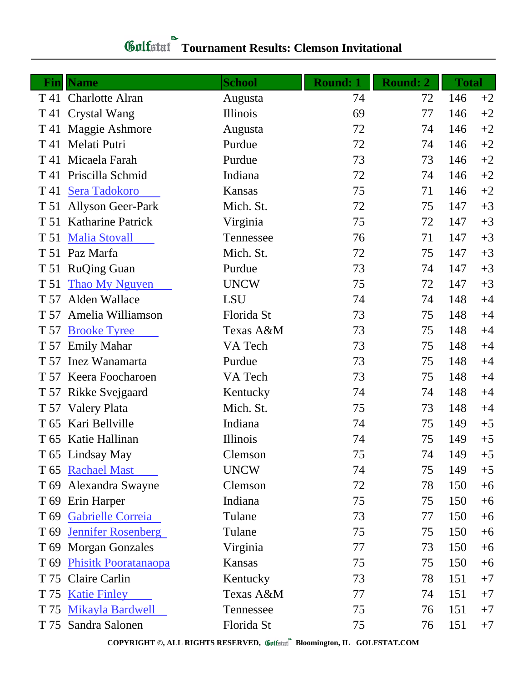## **Gulfatat** Tournament Results: Clemson Invitational

|                 | <b>Fin  Name</b>            | <b>School</b> | <b>Round: 1</b> | <b>Round: 2</b> | <b>Total</b> |      |
|-----------------|-----------------------------|---------------|-----------------|-----------------|--------------|------|
|                 | T 41 Charlotte Alran        | Augusta       | 74              | 72              | 146          | $+2$ |
| T 41            | Crystal Wang                | Illinois      | 69              | 77              | 146          | $+2$ |
| T 41            | Maggie Ashmore              | Augusta       | 72              | 74              | 146          | $+2$ |
| T 41            | Melati Putri                | Purdue        | 72              | 74              | 146          | $+2$ |
| T 41            | Micaela Farah               | Purdue        | 73              | 73              | 146          | $+2$ |
| T 41            | Priscilla Schmid            | Indiana       | 72              | 74              | 146          | $+2$ |
| T 41            | <b>Sera Tadokoro</b>        | Kansas        | 75              | 71              | 146          | $+2$ |
| T 51            | <b>Allyson Geer-Park</b>    | Mich. St.     | 72              | 75              | 147          | $+3$ |
| T 51            | <b>Katharine Patrick</b>    | Virginia      | 75              | 72              | 147          | $+3$ |
| T 51            | <b>Malia Stovall</b>        | Tennessee     | 76              | 71              | 147          | $+3$ |
| T 51            | Paz Marfa                   | Mich. St.     | 72              | 75              | 147          | $+3$ |
| T 51            | <b>RuQing Guan</b>          | Purdue        | 73              | 74              | 147          | $+3$ |
| T 51            | <b>Thao My Nguyen</b>       | <b>UNCW</b>   | 75              | 72              | 147          | $+3$ |
| T 57            | Alden Wallace               | <b>LSU</b>    | 74              | 74              | 148          | $+4$ |
| T 57            | Amelia Williamson           | Florida St    | 73              | 75              | 148          | $+4$ |
| T 57            | <b>Brooke Tyree</b>         | Texas A&M     | 73              | 75              | 148          | $+4$ |
| T 57            | <b>Emily Mahar</b>          | VA Tech       | 73              | 75              | 148          | $+4$ |
| T 57            | Inez Wanamarta              | Purdue        | 73              | 75              | 148          | $+4$ |
|                 | T 57 Keera Foocharoen       | VA Tech       | 73              | 75              | 148          | $+4$ |
| T 57            | Rikke Svejgaard             | Kentucky      | 74              | 74              | 148          | $+4$ |
|                 | T 57 Valery Plata           | Mich. St.     | 75              | 73              | 148          | $+4$ |
| T 65            | Kari Bellville              | Indiana       | 74              | 75              | 149          | $+5$ |
|                 | T 65 Katie Hallinan         | Illinois      | 74              | 75              | 149          | $+5$ |
|                 | T 65 Lindsay May            | Clemson       | 75              | 74              | 149          | $+5$ |
|                 | T 65 Rachael Mast           | <b>UNCW</b>   | 74              | 75              | 149          | $+5$ |
|                 | T 69 Alexandra Swayne       | Clemson       | 72              | 78              | 150          | $+6$ |
|                 | T 69 Erin Harper            | Indiana       | 75              | 75              | 150          | $+6$ |
|                 | T 69 Gabrielle Correia      | Tulane        | 73              | 77              | 150          | $+6$ |
| T <sub>69</sub> | <b>Jennifer Rosenberg</b>   | Tulane        | 75              | 75              | 150          | $+6$ |
|                 | T 69 Morgan Gonzales        | Virginia      | 77              | 73              | 150          | $+6$ |
| T <sub>69</sub> | <b>Phisitk Pooratanaopa</b> | Kansas        | 75              | 75              | 150          | $+6$ |
| T 75            | Claire Carlin               | Kentucky      | 73              | 78              | 151          | $+7$ |
| T 75            | <b>Katie Finley</b>         | Texas A&M     | 77              | 74              | 151          | $+7$ |
| T 75            | <b>Mikayla Bardwell</b>     | Tennessee     | 75              | 76              | 151          | $+7$ |
|                 | T 75 Sandra Salonen         | Florida St    | 75              | 76              | 151          | $+7$ |

**COPYRIGHT ©, ALL RIGHTS RESERVED, Bloomington, IL GOLFSTAT.COM**